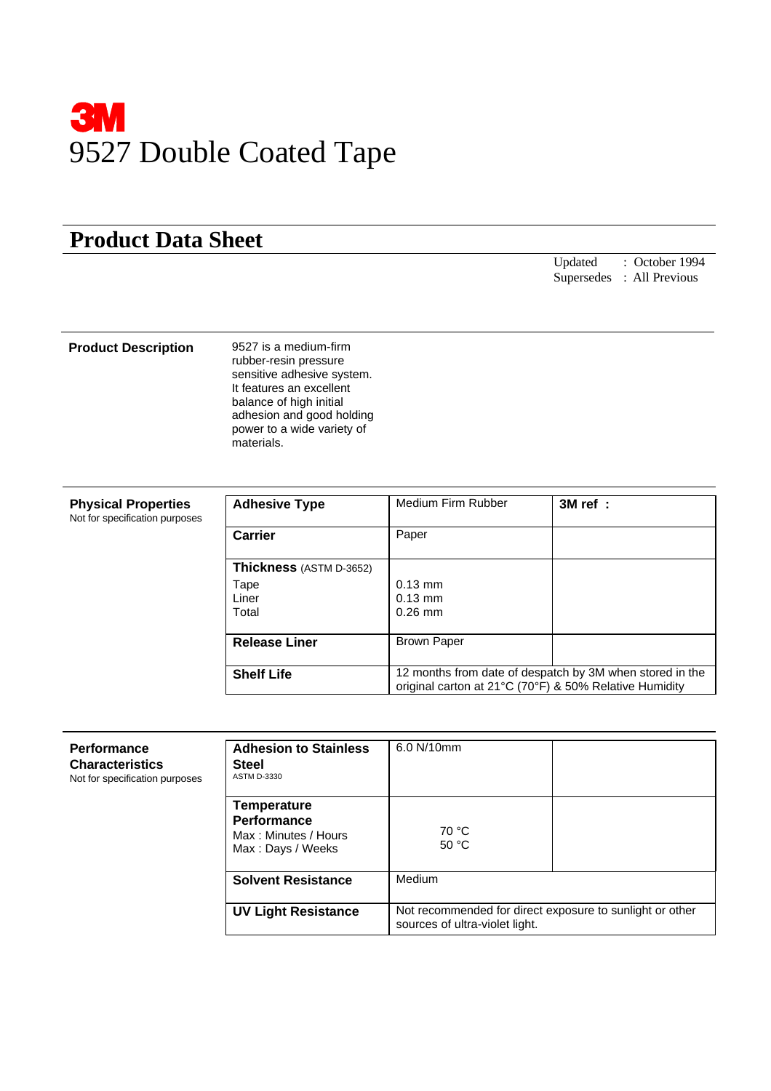

## **Product Data Sheet**

Updated : October 1994 Supersedes : All Previous

## **Product Description** 9527 is a medium-firm

rubber-resin pressure sensitive adhesive system. It features an excellent balance of high initial adhesion and good holding power to a wide variety of materials.

| <b>Physical Properties</b><br>Not for specification purposes | <b>Adhesive Type</b>    | Medium Firm Rubber                                                                                                 | 3M ref : |
|--------------------------------------------------------------|-------------------------|--------------------------------------------------------------------------------------------------------------------|----------|
|                                                              | <b>Carrier</b>          | Paper                                                                                                              |          |
|                                                              | Thickness (ASTM D-3652) |                                                                                                                    |          |
|                                                              | Tape<br>Liner<br>Total  | $0.13$ mm<br>$0.13$ mm<br>$0.26$ mm                                                                                |          |
|                                                              | <b>Release Liner</b>    | <b>Brown Paper</b>                                                                                                 |          |
|                                                              | <b>Shelf Life</b>       | 12 months from date of despatch by 3M when stored in the<br>original carton at 21°C (70°F) & 50% Relative Humidity |          |

| Performance<br><b>Characteristics</b><br>Not for specification purposes | <b>Adhesion to Stainless</b><br><b>Steel</b><br><b>ASTM D-3330</b>                    | 6.0 N/10mm                                                                                 |  |
|-------------------------------------------------------------------------|---------------------------------------------------------------------------------------|--------------------------------------------------------------------------------------------|--|
|                                                                         | <b>Temperature</b><br><b>Performance</b><br>Max: Minutes / Hours<br>Max: Days / Weeks | 70 °C<br>50 °C                                                                             |  |
|                                                                         | <b>Solvent Resistance</b>                                                             | Medium                                                                                     |  |
|                                                                         | <b>UV Light Resistance</b>                                                            | Not recommended for direct exposure to sunlight or other<br>sources of ultra-violet light. |  |